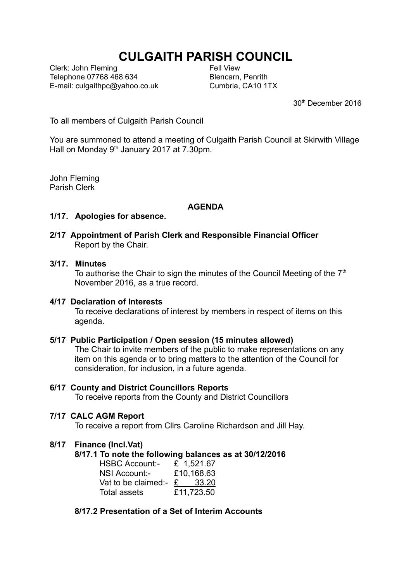# **CULGAITH PARISH COUNCIL**

Clerk: John Fleming Telephone 07768 468 634 E-mail: culgaithpc@yahoo.co.uk Fell View Blencarn, Penrith Cumbria, CA10 1TX

30th December 2016

To all members of Culgaith Parish Council

You are summoned to attend a meeting of Culgaith Parish Council at Skirwith Village Hall on Monday  $9<sup>th</sup>$  January 2017 at 7.30pm.

John Fleming Parish Clerk

#### **AGENDA**

#### **1/17. Apologies for absence.**

## **2/17 Appointment of Parish Clerk and Responsible Financial Officer** Report by the Chair.

# **3/17. Minutes**

To authorise the Chair to sign the minutes of the Council Meeting of the  $7<sup>th</sup>$ November 2016, as a true record.

#### **4/17 Declaration of Interests**

To receive declarations of interest by members in respect of items on this agenda.

#### **5/17 Public Participation / Open session (15 minutes allowed)**

The Chair to invite members of the public to make representations on any item on this agenda or to bring matters to the attention of the Council for consideration, for inclusion, in a future agenda.

#### **6/17 County and District Councillors Reports**

To receive reports from the County and District Councillors

#### **7/17 CALC AGM Report**

To receive a report from Cllrs Caroline Richardson and Jill Hay.

#### **8/17 Finance (Incl.Vat)**

#### **8/17.1 To note the following balances as at 30/12/2016**

| <b>HSBC Account:-</b> | £ 1,521.67 |
|-----------------------|------------|
| NSI Account:-         | £10,168.63 |
| Vat to be claimed:-   | £ 33.20    |
| Total assets          | £11,723.50 |

## **8/17.2 Presentation of a Set of Interim Accounts**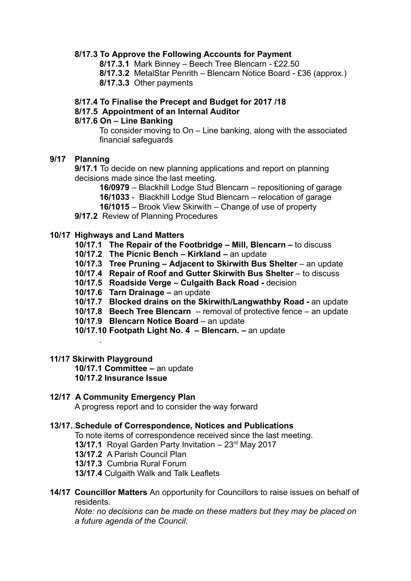#### **8/17.3 To Approve the Following Accounts for Payment**

**8/17.3.1** Mark Binney – Beech Tree Blencarn - £22.50

**8/17.3.2** MetalStar Penrith – Blencarn Notice Board - £36 (approx.)

**8/17.3.3** Other payments

## **8/17.4 To Finalise the Precept and Budget for 2017 /18**

## **8/17.5 Appointment of an Internal Auditor**

#### **8/17.6 On – Line Banking**

To consider moving to On – Line banking, along with the associated financial safeguards

## **9/17 Planning**

**9/17.1** To decide on new planning applications and report on planning decisions made since the last meeting.

**16/0979** – Blackhill Lodge Stud Blencarn – repositioning of garage

**16/1033** - Blackhill Lodge Stud Blencarn – relocation of garage

**16/1015** – Brook View Skirwith – Change of use of property

**9/17.2** Review of Planning Procedures

## **10/17 Highways and Land Matters**

**10/17.1 The Repair of the Footbridge – Mill, Blencarn –** to discuss

- **10/17.2 The Picnic Bench Kirkland** an update
- **10/17.3 Tree Pruning Adjacent to Skirwith Bus Shelter** an update
- **10/17.4 Repair of Roof and Gutter Skirwith Bus Shelter** to discuss
- **10/17.5 Roadside Verge Culgaith Back Road** decision
- **10/17.6 Tarn Drainage** an update
- **10/17.7 Blocked drains on the Skirwith/Langwathby Road** an update
- **10/17.8 Beech Tree Blencarn** removal of protective fence an update
- **10/17.9 Blencarn Notice Board** an update
- **10/17.10 Footpath Light No. 4 Blencarn.** an update

#### **11/17 Skirwith Playground**

.

**10/17.1 Committee –** an update **10/17.2 Insurance Issue**

#### **12/17 A Community Emergency Plan**

A progress report and to consider the way forward

#### **13/17.**.**Schedule of Correspondence, Notices and Publications**

To note items of correspondence received since the last meeting.

**13/17.1** Royal Garden Party Invitation – 23rd May 2017

**13/17.2** A Parish Council Plan

**13/17.3** Cumbria Rural Forum

**13/17.4** Culgaith Walk and Talk Leaflets

**14/17 Councillor Matters** An opportunity for Councillors to raise issues on behalf of residents.

*Note: no decisions can be made on these matters but they may be placed on a future agenda of the Council.*